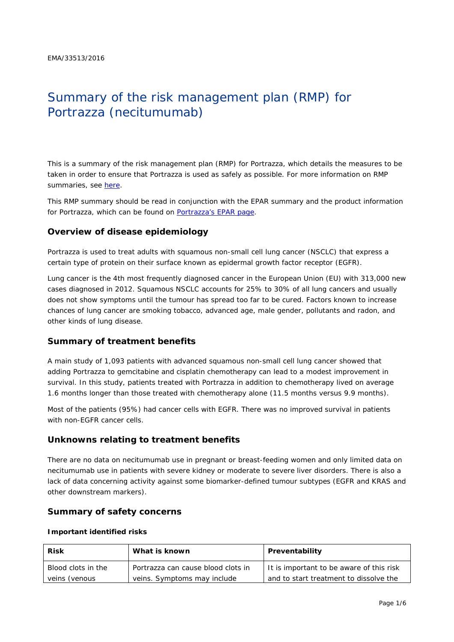# Summary of the risk management plan (RMP) for Portrazza (necitumumab)

This is a summary of the risk management plan (RMP) for Portrazza, which details the measures to be taken in order to ensure that Portrazza is used as safely as possible. For more information on RMP summaries, see [here.](http://www.ema.europa.eu/docs/en_GB/document_library/Other/2014/05/WC500166101.pdf)

This RMP summary should be read in conjunction with the EPAR summary and the product information for Portrazza, which can be found on [Portrazza's EPAR page.](http://www.ema.europa.eu/ema/index.jsp?curl=/pages/medicines/human/medicines/003886/human_med_001953.jsp)

# **Overview of disease epidemiology**

Portrazza is used to treat adults with squamous non-small cell lung cancer (NSCLC) that express a certain type of protein on their surface known as epidermal growth factor receptor (EGFR).

Lung cancer is the 4th most frequently diagnosed cancer in the European Union (EU) with 313,000 new cases diagnosed in 2012. Squamous NSCLC accounts for 25% to 30% of all lung cancers and usually does not show symptoms until the tumour has spread too far to be cured. Factors known to increase chances of lung cancer are smoking tobacco, advanced age, male gender, pollutants and radon, and other kinds of lung disease.

## **Summary of treatment benefits**

A main study of 1,093 patients with advanced squamous non-small cell lung cancer showed that adding Portrazza to gemcitabine and cisplatin chemotherapy can lead to a modest improvement in survival. In this study, patients treated with Portrazza in addition to chemotherapy lived on average 1.6 months longer than those treated with chemotherapy alone (11.5 months versus 9.9 months).

Most of the patients (95%) had cancer cells with EGFR. There was no improved survival in patients with non-EGFR cancer cells.

## **Unknowns relating to treatment benefits**

There are no data on necitumumab use in pregnant or breast-feeding women and only limited data on necitumumab use in patients with severe kidney or moderate to severe liver disorders. There is also a lack of data concerning activity against some biomarker-defined tumour subtypes (EGFR and KRAS and other downstream markers).

## **Summary of safety concerns**

#### *Important identified risks*

| <b>Risk</b>                                  | What is known                      | Preventability                           |  |
|----------------------------------------------|------------------------------------|------------------------------------------|--|
| Blood clots in the                           | Portrazza can cause blood clots in | It is important to be aware of this risk |  |
| veins. Symptoms may include<br>veins (venous |                                    | and to start treatment to dissolve the   |  |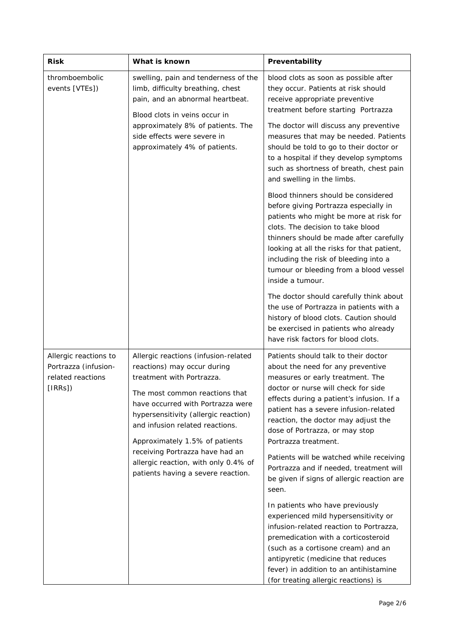| <b>Risk</b>                                                                  | What is known                                                                                                                                                                                                                                                                                                                                                                                         | Preventability                                                                                                                                                                                                                                                                                                                                                                                                                                                                            |  |
|------------------------------------------------------------------------------|-------------------------------------------------------------------------------------------------------------------------------------------------------------------------------------------------------------------------------------------------------------------------------------------------------------------------------------------------------------------------------------------------------|-------------------------------------------------------------------------------------------------------------------------------------------------------------------------------------------------------------------------------------------------------------------------------------------------------------------------------------------------------------------------------------------------------------------------------------------------------------------------------------------|--|
| thromboembolic<br>events [VTEs])                                             | swelling, pain and tenderness of the<br>limb, difficulty breathing, chest<br>pain, and an abnormal heartbeat.<br>Blood clots in veins occur in<br>approximately 8% of patients. The<br>side effects were severe in<br>approximately 4% of patients.                                                                                                                                                   | blood clots as soon as possible after<br>they occur. Patients at risk should<br>receive appropriate preventive<br>treatment before starting Portrazza                                                                                                                                                                                                                                                                                                                                     |  |
|                                                                              |                                                                                                                                                                                                                                                                                                                                                                                                       | The doctor will discuss any preventive<br>measures that may be needed. Patients<br>should be told to go to their doctor or<br>to a hospital if they develop symptoms<br>such as shortness of breath, chest pain<br>and swelling in the limbs.                                                                                                                                                                                                                                             |  |
|                                                                              |                                                                                                                                                                                                                                                                                                                                                                                                       | Blood thinners should be considered<br>before giving Portrazza especially in<br>patients who might be more at risk for<br>clots. The decision to take blood<br>thinners should be made after carefully<br>looking at all the risks for that patient,<br>including the risk of bleeding into a<br>tumour or bleeding from a blood vessel<br>inside a tumour.                                                                                                                               |  |
|                                                                              |                                                                                                                                                                                                                                                                                                                                                                                                       | The doctor should carefully think about<br>the use of Portrazza in patients with a<br>history of blood clots. Caution should<br>be exercised in patients who already<br>have risk factors for blood clots.                                                                                                                                                                                                                                                                                |  |
| Allergic reactions to<br>Portrazza (infusion-<br>related reactions<br>[IRRS] | Allergic reactions (infusion-related<br>reactions) may occur during<br>treatment with Portrazza.<br>The most common reactions that<br>have occurred with Portrazza were<br>hypersensitivity (allergic reaction)<br>and infusion related reactions.<br>Approximately 1.5% of patients<br>receiving Portrazza have had an<br>allergic reaction, with only 0.4% of<br>patients having a severe reaction. | Patients should talk to their doctor<br>about the need for any preventive<br>measures or early treatment. The<br>doctor or nurse will check for side<br>effects during a patient's infusion. If a<br>patient has a severe infusion-related<br>reaction, the doctor may adjust the<br>dose of Portrazza, or may stop<br>Portrazza treatment.<br>Patients will be watched while receiving<br>Portrazza and if needed, treatment will<br>be given if signs of allergic reaction are<br>seen. |  |
|                                                                              |                                                                                                                                                                                                                                                                                                                                                                                                       | In patients who have previously<br>experienced mild hypersensitivity or<br>infusion-related reaction to Portrazza,<br>premedication with a corticosteroid<br>(such as a cortisone cream) and an<br>antipyretic (medicine that reduces<br>fever) in addition to an antihistamine<br>(for treating allergic reactions) is                                                                                                                                                                   |  |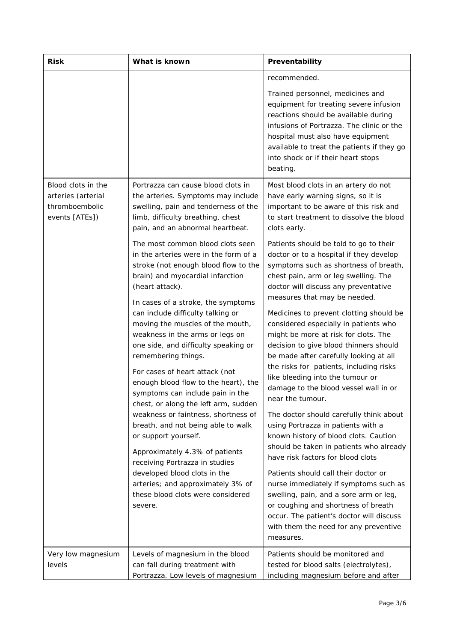| <b>Risk</b>                                                                  | What is known                                                                                                                                                                                                                                                                                                                                                                                                                                                                                                                                                                                                                                                     | Preventability                                                                                                                                                                                                                                                                                                                                                                                                                                                                                                                                                                                                                                                                                                                                                                                                            |  |
|------------------------------------------------------------------------------|-------------------------------------------------------------------------------------------------------------------------------------------------------------------------------------------------------------------------------------------------------------------------------------------------------------------------------------------------------------------------------------------------------------------------------------------------------------------------------------------------------------------------------------------------------------------------------------------------------------------------------------------------------------------|---------------------------------------------------------------------------------------------------------------------------------------------------------------------------------------------------------------------------------------------------------------------------------------------------------------------------------------------------------------------------------------------------------------------------------------------------------------------------------------------------------------------------------------------------------------------------------------------------------------------------------------------------------------------------------------------------------------------------------------------------------------------------------------------------------------------------|--|
|                                                                              |                                                                                                                                                                                                                                                                                                                                                                                                                                                                                                                                                                                                                                                                   | recommended.                                                                                                                                                                                                                                                                                                                                                                                                                                                                                                                                                                                                                                                                                                                                                                                                              |  |
|                                                                              |                                                                                                                                                                                                                                                                                                                                                                                                                                                                                                                                                                                                                                                                   | Trained personnel, medicines and<br>equipment for treating severe infusion<br>reactions should be available during<br>infusions of Portrazza. The clinic or the<br>hospital must also have equipment<br>available to treat the patients if they go<br>into shock or if their heart stops<br>beating.                                                                                                                                                                                                                                                                                                                                                                                                                                                                                                                      |  |
| Blood clots in the<br>arteries (arterial<br>thromboembolic<br>events [ATEs]) | Portrazza can cause blood clots in<br>the arteries. Symptoms may include<br>swelling, pain and tenderness of the<br>limb, difficulty breathing, chest<br>pain, and an abnormal heartbeat.                                                                                                                                                                                                                                                                                                                                                                                                                                                                         | Most blood clots in an artery do not<br>have early warning signs, so it is<br>important to be aware of this risk and<br>to start treatment to dissolve the blood<br>clots early.                                                                                                                                                                                                                                                                                                                                                                                                                                                                                                                                                                                                                                          |  |
|                                                                              | The most common blood clots seen<br>in the arteries were in the form of a<br>stroke (not enough blood flow to the<br>brain) and myocardial infarction<br>(heart attack).                                                                                                                                                                                                                                                                                                                                                                                                                                                                                          | Patients should be told to go to their<br>doctor or to a hospital if they develop<br>symptoms such as shortness of breath,<br>chest pain, arm or leg swelling. The<br>doctor will discuss any preventative<br>measures that may be needed.                                                                                                                                                                                                                                                                                                                                                                                                                                                                                                                                                                                |  |
|                                                                              | In cases of a stroke, the symptoms<br>can include difficulty talking or<br>moving the muscles of the mouth,<br>weakness in the arms or legs on<br>one side, and difficulty speaking or<br>remembering things.<br>For cases of heart attack (not<br>enough blood flow to the heart), the<br>symptoms can include pain in the<br>chest, or along the left arm, sudden<br>weakness or faintness, shortness of<br>breath, and not being able to walk<br>or support yourself.<br>Approximately 4.3% of patients<br>receiving Portrazza in studies<br>developed blood clots in the<br>arteries; and approximately 3% of<br>these blood clots were considered<br>severe. | Medicines to prevent clotting should be<br>considered especially in patients who<br>might be more at risk for clots. The<br>decision to give blood thinners should<br>be made after carefully looking at all<br>the risks for patients, including risks<br>like bleeding into the tumour or<br>damage to the blood vessel wall in or<br>near the tumour.<br>The doctor should carefully think about<br>using Portrazza in patients with a<br>known history of blood clots. Caution<br>should be taken in patients who already<br>have risk factors for blood clots<br>Patients should call their doctor or<br>nurse immediately if symptoms such as<br>swelling, pain, and a sore arm or leg,<br>or coughing and shortness of breath<br>occur. The patient's doctor will discuss<br>with them the need for any preventive |  |
| Very low magnesium<br>levels                                                 | Levels of magnesium in the blood<br>can fall during treatment with<br>Portrazza. Low levels of magnesium                                                                                                                                                                                                                                                                                                                                                                                                                                                                                                                                                          | measures.<br>Patients should be monitored and<br>tested for blood salts (electrolytes),<br>including magnesium before and after                                                                                                                                                                                                                                                                                                                                                                                                                                                                                                                                                                                                                                                                                           |  |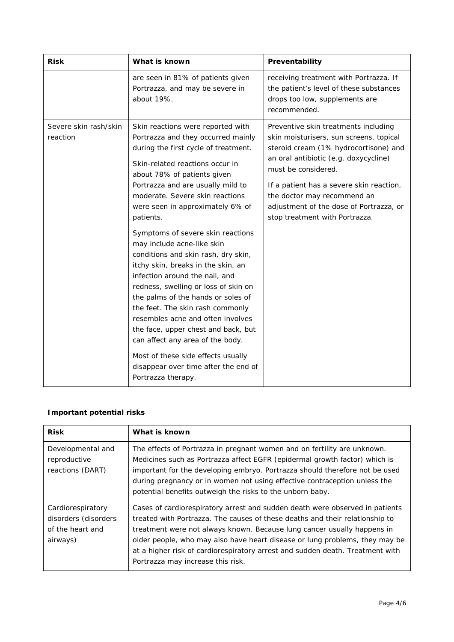| <b>Risk</b>                       | What is known                                                                                                                                                                                                                                                                                                                                                                                                                                                                                                                                                                                                                                                                                                                                                                                                                      | Preventability                                                                                                                                                                                                                                                                                                                                   |  |
|-----------------------------------|------------------------------------------------------------------------------------------------------------------------------------------------------------------------------------------------------------------------------------------------------------------------------------------------------------------------------------------------------------------------------------------------------------------------------------------------------------------------------------------------------------------------------------------------------------------------------------------------------------------------------------------------------------------------------------------------------------------------------------------------------------------------------------------------------------------------------------|--------------------------------------------------------------------------------------------------------------------------------------------------------------------------------------------------------------------------------------------------------------------------------------------------------------------------------------------------|--|
|                                   | are seen in 81% of patients given<br>Portrazza, and may be severe in<br>about 19%.                                                                                                                                                                                                                                                                                                                                                                                                                                                                                                                                                                                                                                                                                                                                                 | receiving treatment with Portrazza. If<br>the patient's level of these substances<br>drops too low, supplements are<br>recommended.                                                                                                                                                                                                              |  |
| Severe skin rash/skin<br>reaction | Skin reactions were reported with<br>Portrazza and they occurred mainly<br>during the first cycle of treatment.<br>Skin-related reactions occur in<br>about 78% of patients given<br>Portrazza and are usually mild to<br>moderate. Severe skin reactions<br>were seen in approximately 6% of<br>patients.<br>Symptoms of severe skin reactions<br>may include acne-like skin<br>conditions and skin rash, dry skin,<br>itchy skin, breaks in the skin, an<br>infection around the nail, and<br>redness, swelling or loss of skin on<br>the palms of the hands or soles of<br>the feet. The skin rash commonly<br>resembles acne and often involves<br>the face, upper chest and back, but<br>can affect any area of the body.<br>Most of these side effects usually<br>disappear over time after the end of<br>Portrazza therapy. | Preventive skin treatments including<br>skin moisturisers, sun screens, topical<br>steroid cream (1% hydrocortisone) and<br>an oral antibiotic (e.g. doxycycline)<br>must be considered.<br>If a patient has a severe skin reaction,<br>the doctor may recommend an<br>adjustment of the dose of Portrazza, or<br>stop treatment with Portrazza. |  |

# *Important potential risks*

| <b>Risk</b>                                                               | What is known                                                                                                                                                                                                                                                                                                                                                                                                                                |
|---------------------------------------------------------------------------|----------------------------------------------------------------------------------------------------------------------------------------------------------------------------------------------------------------------------------------------------------------------------------------------------------------------------------------------------------------------------------------------------------------------------------------------|
| Developmental and<br>reproductive<br>reactions (DART)                     | The effects of Portrazza in pregnant women and on fertility are unknown.<br>Medicines such as Portrazza affect EGFR (epidermal growth factor) which is<br>important for the developing embryo. Portrazza should therefore not be used<br>during pregnancy or in women not using effective contraception unless the<br>potential benefits outweigh the risks to the unborn baby.                                                              |
| Cardiorespiratory<br>disorders (disorders<br>of the heart and<br>airways) | Cases of cardiorespiratory arrest and sudden death were observed in patients<br>treated with Portrazza. The causes of these deaths and their relationship to<br>treatment were not always known. Because lung cancer usually happens in<br>older people, who may also have heart disease or lung problems, they may be<br>at a higher risk of cardiorespiratory arrest and sudden death. Treatment with<br>Portrazza may increase this risk. |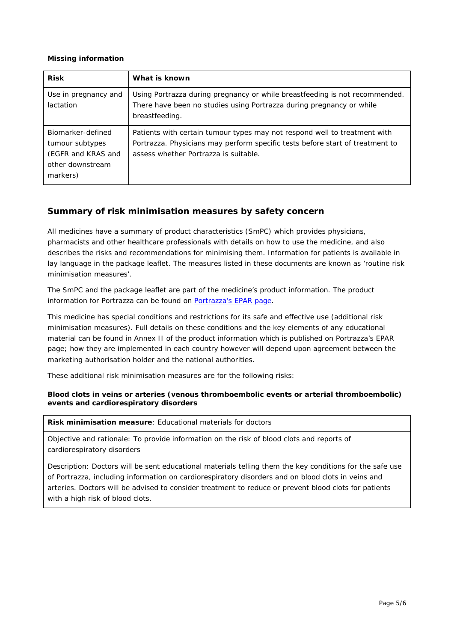#### *Missing information*

| <b>Risk</b>                                                                                | What is known                                                                                                                                                                                       |
|--------------------------------------------------------------------------------------------|-----------------------------------------------------------------------------------------------------------------------------------------------------------------------------------------------------|
| Use in pregnancy and<br>lactation                                                          | Using Portrazza during pregnancy or while breastfeeding is not recommended.<br>There have been no studies using Portrazza during pregnancy or while<br>breastfeeding.                               |
| Biomarker-defined<br>tumour subtypes<br>(EGFR and KRAS and<br>other downstream<br>markers) | Patients with certain tumour types may not respond well to treatment with<br>Portrazza. Physicians may perform specific tests before start of treatment to<br>assess whether Portrazza is suitable. |

# **Summary of risk minimisation measures by safety concern**

All medicines have a summary of product characteristics (SmPC) which provides physicians, pharmacists and other healthcare professionals with details on how to use the medicine, and also describes the risks and recommendations for minimising them. Information for patients is available in lay language in the package leaflet. The measures listed in these documents are known as 'routine risk minimisation measures'.

The SmPC and the package leaflet are part of the medicine's product information. The product information for Portrazza can be found on [Portrazza's EPAR page.](http://www.ema.europa.eu/ema/index.jsp?curl=/pages/medicines/human/medicines/003886/human_med_001953.jsp)

This medicine has special conditions and restrictions for its safe and effective use (additional risk minimisation measures). Full details on these conditions and the key elements of any educational material can be found in Annex II of the product information which is published on Portrazza's EPAR page; how they are implemented in each country however will depend upon agreement between the marketing authorisation holder and the national authorities.

These additional risk minimisation measures are for the following risks:

#### *Blood clots in veins or arteries (venous thromboembolic events or arterial thromboembolic) events and cardiorespiratory disorders*

**Risk minimisation measure**: Educational materials for doctors

Objective and rationale: To provide information on the risk of blood clots and reports of cardiorespiratory disorders

Description: Doctors will be sent educational materials telling them the key conditions for the safe use of Portrazza, including information on cardiorespiratory disorders and on blood clots in veins and arteries. Doctors will be advised to consider treatment to reduce or prevent blood clots for patients with a high risk of blood clots.